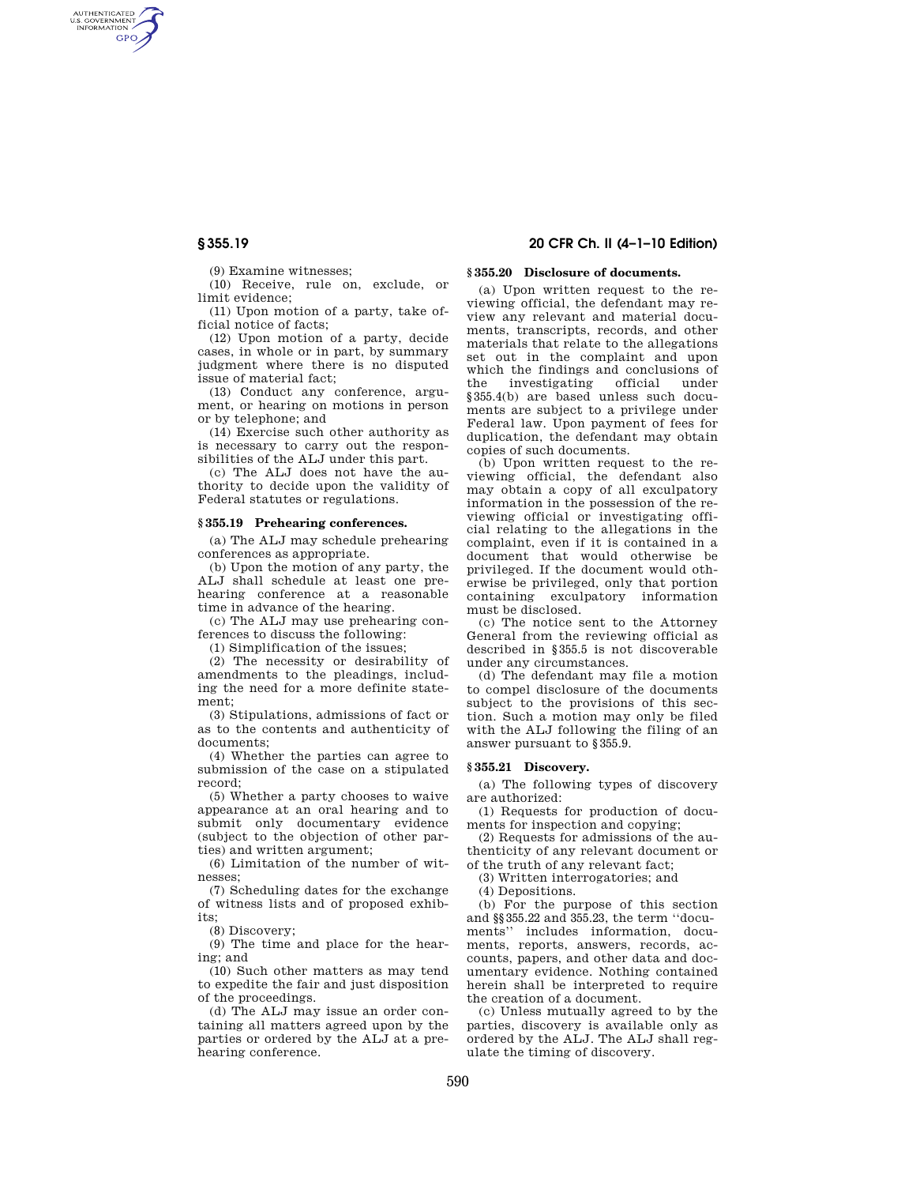AUTHENTICATED<br>U.S. GOVERNMENT<br>INFORMATION **GPO** 

(9) Examine witnesses;

(10) Receive, rule on, exclude, or limit evidence;

(11) Upon motion of a party, take official notice of facts;

(12) Upon motion of a party, decide cases, in whole or in part, by summary judgment where there is no disputed issue of material fact;

(13) Conduct any conference, argument, or hearing on motions in person or by telephone; and

(14) Exercise such other authority as is necessary to carry out the responsibilities of the ALJ under this part.

(c) The ALJ does not have the authority to decide upon the validity of Federal statutes or regulations.

#### **§ 355.19 Prehearing conferences.**

(a) The ALJ may schedule prehearing conferences as appropriate.

(b) Upon the motion of any party, the ALJ shall schedule at least one prehearing conference at a reasonable time in advance of the hearing.

(c) The ALJ may use prehearing conferences to discuss the following:

(1) Simplification of the issues;

(2) The necessity or desirability of amendments to the pleadings, including the need for a more definite statement;

(3) Stipulations, admissions of fact or as to the contents and authenticity of documents;

(4) Whether the parties can agree to submission of the case on a stipulated record;

(5) Whether a party chooses to waive appearance at an oral hearing and to submit only documentary evidence (subject to the objection of other parties) and written argument;

(6) Limitation of the number of witnesses;

(7) Scheduling dates for the exchange of witness lists and of proposed exhibits;

(8) Discovery;

(9) The time and place for the hearing; and

(10) Such other matters as may tend to expedite the fair and just disposition of the proceedings.

(d) The ALJ may issue an order containing all matters agreed upon by the parties or ordered by the ALJ at a prehearing conference.

# **§ 355.19 20 CFR Ch. II (4–1–10 Edition)**

# **§ 355.20 Disclosure of documents.**

(a) Upon written request to the reviewing official, the defendant may review any relevant and material documents, transcripts, records, and other materials that relate to the allegations set out in the complaint and upon which the findings and conclusions of the investigating official under §355.4(b) are based unless such documents are subject to a privilege under Federal law. Upon payment of fees for duplication, the defendant may obtain copies of such documents.

(b) Upon written request to the reviewing official, the defendant also may obtain a copy of all exculpatory information in the possession of the reviewing official or investigating official relating to the allegations in the complaint, even if it is contained in a document that would otherwise be privileged. If the document would otherwise be privileged, only that portion containing exculpatory information must be disclosed.

(c) The notice sent to the Attorney General from the reviewing official as described in §355.5 is not discoverable under any circumstances.

(d) The defendant may file a motion to compel disclosure of the documents subject to the provisions of this section. Such a motion may only be filed with the ALJ following the filing of an answer pursuant to §355.9.

## **§ 355.21 Discovery.**

(a) The following types of discovery are authorized:

(1) Requests for production of documents for inspection and copying;

(2) Requests for admissions of the authenticity of any relevant document or of the truth of any relevant fact;

(3) Written interrogatories; and

(4) Depositions.

(b) For the purpose of this section and §§355.22 and 355.23, the term ''documents'' includes information, documents, reports, answers, records, accounts, papers, and other data and documentary evidence. Nothing contained herein shall be interpreted to require the creation of a document.

(c) Unless mutually agreed to by the parties, discovery is available only as ordered by the ALJ. The ALJ shall regulate the timing of discovery.